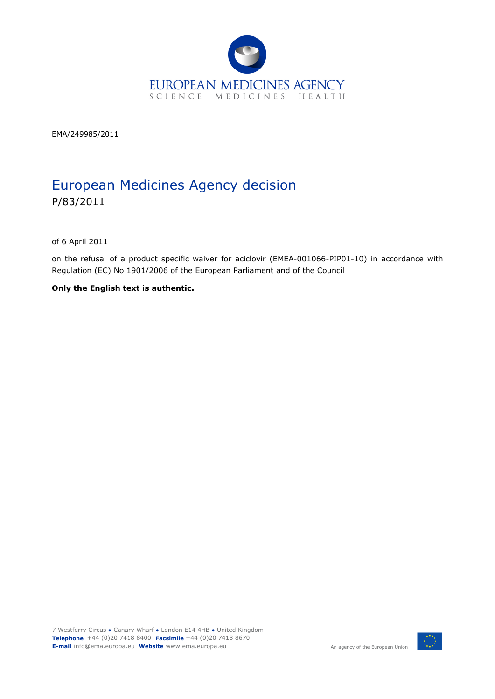

EMA/249985/2011

# European Medicines Agency decision P/83/2011

of 6 April 2011

on the refusal of a product specific waiver for aciclovir (EMEA-001066-PIP01-10) in accordance with Regulation (EC) No 1901/2006 of the European Parliament and of the Council

**Only the English text is authentic.**

7 Westferry Circus **●** Canary Wharf **●** London E14 4HB **●** United Kingdom **Telephone** +44 (0)20 7418 8400 **Facsimile** +44 (0)20 7418 8670 **E-mail** info@ema.europa.eu **Website** www.ema.europa.eu <br> **E-mail** info@ema.europa.eu **Website** www.ema.europa.eu



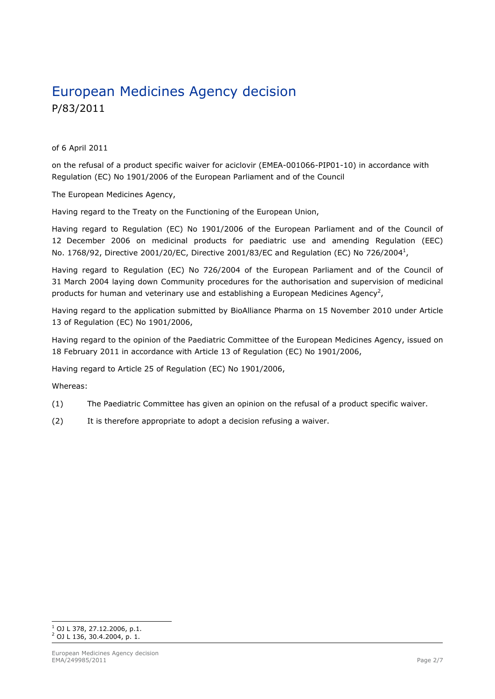# European Medicines Agency decision P/83/2011

of 6 April 2011

on the refusal of a product specific waiver for aciclovir (EMEA-001066-PIP01-10) in accordance with Regulation (EC) No 1901/2006 of the European Parliament and of the Council

The European Medicines Agency,

Having regard to the Treaty on the Functioning of the European Union,

Having regard to Regulation (EC) No 1901/2006 of the European Parliament and of the Council of 12 December 2006 on medicinal products for paediatric use and amending Regulation (EEC) No. [1](#page-1-0)768/92, Directive 2001/20/EC, Directive 2001/83/EC and Regulation (EC) No 726/2004 $^1$ ,

Having regard to Regulation (EC) No 726/2004 of the European Parliament and of the Council of 31 March 2004 laying down Community procedures for the authorisation and supervision of medicinal products for human and veterinary use and establishing a European Medicines Agency<sup>[2](#page-1-1)</sup>,

Having regard to the application submitted by BioAlliance Pharma on 15 November 2010 under Article 13 of Regulation (EC) No 1901/2006,

Having regard to the opinion of the Paediatric Committee of the European Medicines Agency, issued on 18 February 2011 in accordance with Article 13 of Regulation (EC) No 1901/2006,

Having regard to Article 25 of Regulation (EC) No 1901/2006,

Whereas:

- (1) The Paediatric Committee has given an opinion on the refusal of a product specific waiver.
- (2) It is therefore appropriate to adopt a decision refusing a waiver.

<span id="page-1-1"></span><span id="page-1-0"></span>ł  $^1$  OJ L 378, 27.12.2006, p.1.  $^{2}$  OJ L 136, 30.4.2004, p. 1.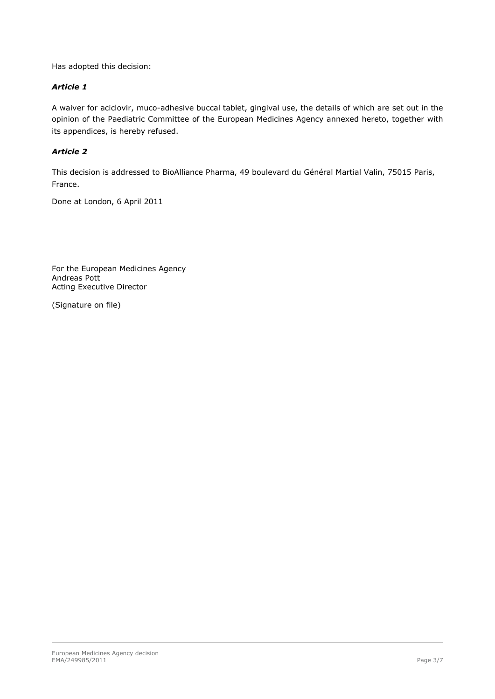Has adopted this decision:

#### *Article 1*

A waiver for aciclovir, muco-adhesive buccal tablet, gingival use, the details of which are set out in the opinion of the Paediatric Committee of the European Medicines Agency annexed hereto, together with its appendices, is hereby refused.

#### *Article 2*

This decision is addressed to BioAlliance Pharma, 49 boulevard du Général Martial Valin, 75015 Paris, France.

Done at London, 6 April 2011

For the European Medicines Agency Andreas Pott Acting Executive Director

(Signature on file)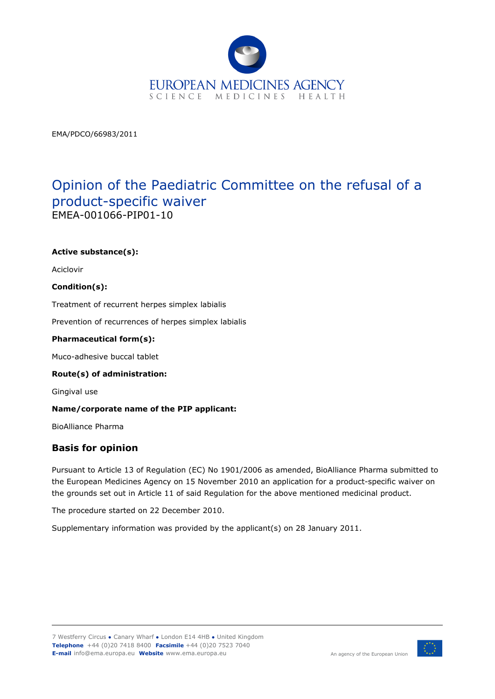

EMA/PDCO/66983/2011

## Opinion of the Paediatric Committee on the refusal of a product-specific waiver EMEA-001066-PIP01-10

#### **Active substance(s):**

Aciclovir

#### **Condition(s):**

Treatment of recurrent herpes simplex labialis

Prevention of recurrences of herpes simplex labialis

#### **Pharmaceutical form(s):**

Muco-adhesive buccal tablet

#### **Route(s) of administration:**

Gingival use

#### **Name/corporate name of the PIP applicant:**

BioAlliance Pharma

### **Basis for opinion**

Pursuant to Article 13 of Regulation (EC) No 1901/2006 as amended, BioAlliance Pharma submitted to the European Medicines Agency on 15 November 2010 an application for a product-specific waiver on the grounds set out in Article 11 of said Regulation for the above mentioned medicinal product.

The procedure started on 22 December 2010.

Supplementary information was provided by the applicant(s) on 28 January 2011.

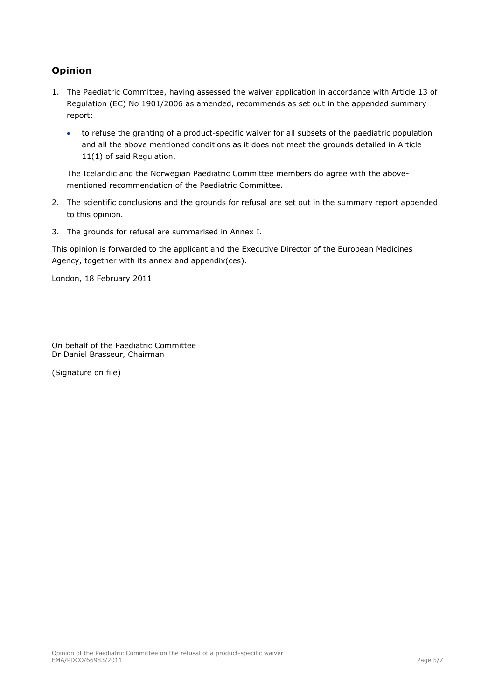## **Opinion**

- 1. The Paediatric Committee, having assessed the waiver application in accordance with Article 13 of Regulation (EC) No 1901/2006 as amended, recommends as set out in the appended summary report:
	- to refuse the granting of a product-specific waiver for all subsets of the paediatric population and all the above mentioned conditions as it does not meet the grounds detailed in Article 11(1) of said Regulation.

The Icelandic and the Norwegian Paediatric Committee members do agree with the abovementioned recommendation of the Paediatric Committee.

- 2. The scientific conclusions and the grounds for refusal are set out in the summary report appended to this opinion.
- 3. The grounds for refusal are summarised in Annex I.

This opinion is forwarded to the applicant and the Executive Director of the European Medicines Agency, together with its annex and appendix(ces).

London, 18 February 2011

On behalf of the Paediatric Committee Dr Daniel Brasseur, Chairman

(Signature on file)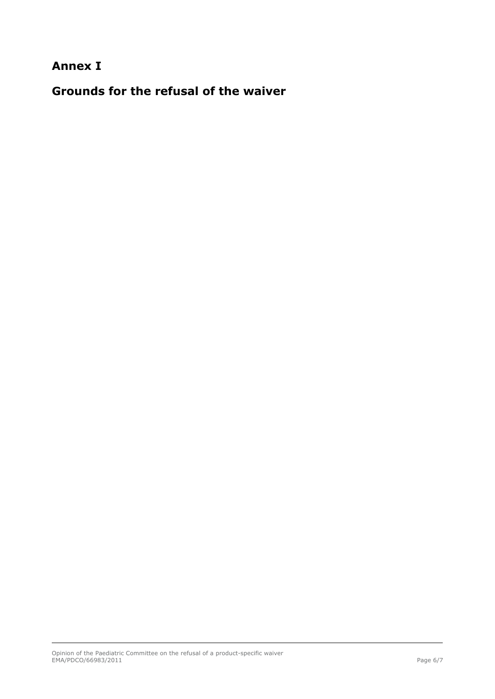## **Annex I**

**Grounds for the refusal of the waiver**